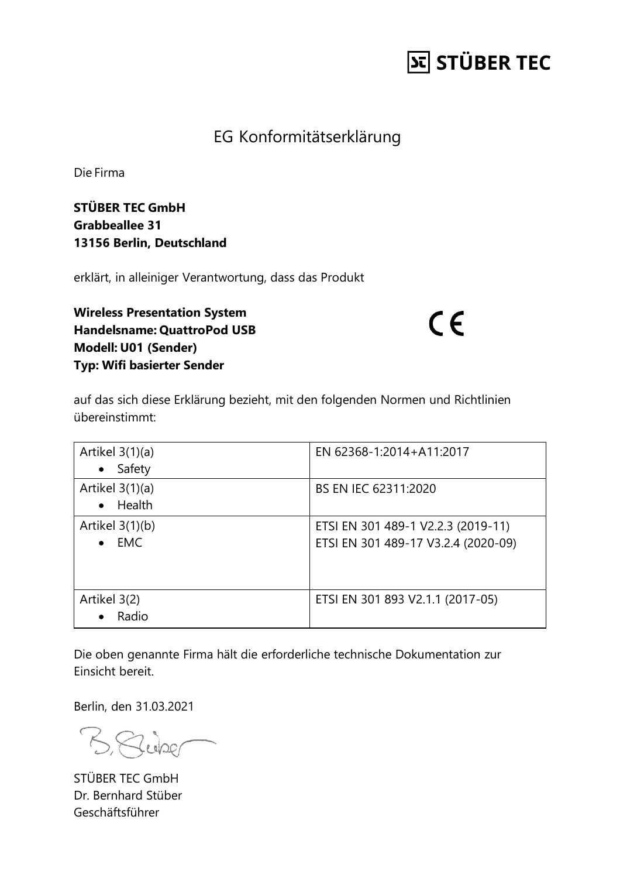## **St STÜBER TEC**

#### EG Konformitätserklärung

Die Firma

**STÜBER TEC GmbH Grabbeallee 31 13156 Berlin, Deutschland**

erklärt, in alleiniger Verantwortung, dass das Produkt

**Wireless Presentation System Handelsname: QuattroPod USB Modell: U01 (Sender) Typ: Wifi basierter Sender**

 $C \in$ 

auf das sich diese Erklärung bezieht, mit den folgenden Normen und Richtlinien übereinstimmt:

| Artikel 3(1)(a)<br>Safety<br>$\bullet$       | EN 62368-1:2014+A11:2017                                                  |
|----------------------------------------------|---------------------------------------------------------------------------|
| Artikel $3(1)(a)$<br>Health<br>$\bullet$     | BS EN IEC 62311:2020                                                      |
| Artikel $3(1)(b)$<br><b>EMC</b><br>$\bullet$ | ETSI EN 301 489-1 V2.2.3 (2019-11)<br>ETSI EN 301 489-17 V3.2.4 (2020-09) |
| Artikel 3(2)<br>Radio<br>$\bullet$           | ETSI EN 301 893 V2.1.1 (2017-05)                                          |

Die oben genannte Firma hält die erforderliche technische Dokumentation zur Einsicht bereit.

Berlin, den 31.03.2021

BRUDE

STÜBER TEC GmbH Dr. Bernhard Stüber Geschäftsführer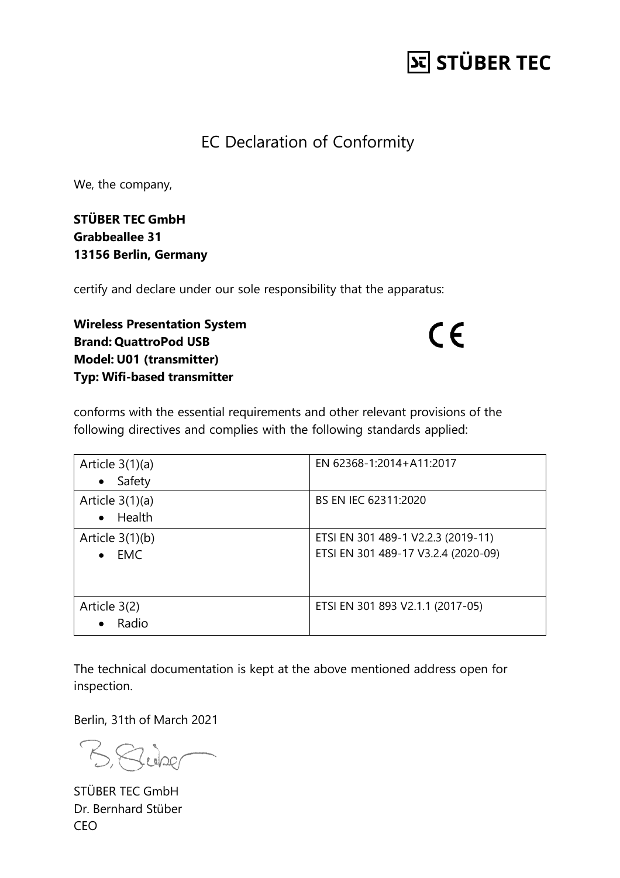## **St STÜBER TEC**

#### EC Declaration of Conformity

We, the company,

**STÜBER TEC GmbH Grabbeallee 31 13156 Berlin, Germany**

certify and declare under our sole responsibility that the apparatus:

**Wireless Presentation System Brand: QuattroPod USB Model: U01 (transmitter) Typ: Wifi-based transmitter**

 $C \in$ 

conforms with the essential requirements and other relevant provisions of the following directives and complies with the following standards applied:

| Article $3(1)(a)$<br>Safety<br>$\bullet$     | EN 62368-1:2014+A11:2017                                                  |
|----------------------------------------------|---------------------------------------------------------------------------|
| Article $3(1)(a)$<br>Health<br>$\bullet$     | BS EN IEC 62311:2020                                                      |
| Article $3(1)(b)$<br><b>EMC</b><br>$\bullet$ | ETSI EN 301 489-1 V2.2.3 (2019-11)<br>ETSI EN 301 489-17 V3.2.4 (2020-09) |
| Article 3(2)<br>Radio<br>$\bullet$           | ETSI EN 301 893 V2.1.1 (2017-05)                                          |

The technical documentation is kept at the above mentioned address open for inspection.

Berlin, 31th of March 2021

Buber

STÜBER TEC GmbH Dr. Bernhard Stüber CEO